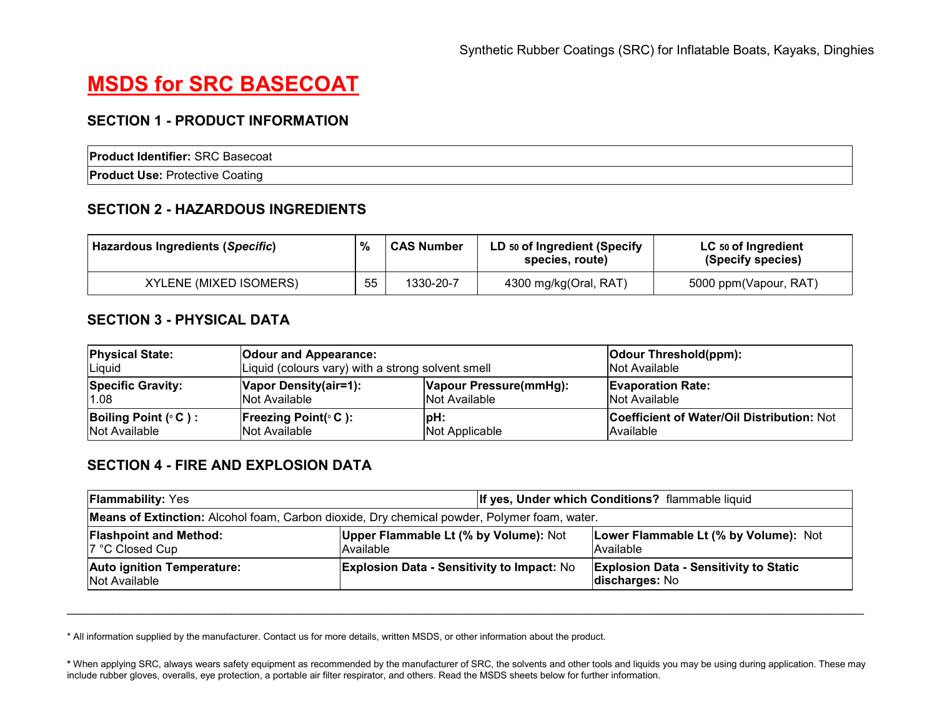# **MSDS for SRC BASECOAT**

#### **SECTION 1 - PRODUCT INFORMATION**

**Product Identifier:** SRC Basecoat

**Product Use:** Protective Coating

### **SECTION 2 - HAZARDOUS INGREDIENTS**

| Hazardous Ingredients (Specific) | %  | <b>CAS Number</b> | LD 50 of Ingredient (Specify<br>species, route) | LC 50 of Ingredient<br>(Specify species) |
|----------------------------------|----|-------------------|-------------------------------------------------|------------------------------------------|
| XYLENE (MIXED ISOMERS)           | 55 | 1330-20-7         | 4300 mg/kg(Oral, RAT)                           | 5000 ppm(Vapour, RAT)                    |

#### **SECTION 3 - PHYSICAL DATA**

| <b>Physical State:</b>       | <b>Odour and Appearance:</b>                      |                        | <b>Odour Threshold(ppm):</b>                      |
|------------------------------|---------------------------------------------------|------------------------|---------------------------------------------------|
| Liquid                       | Liquid (colours vary) with a strong solvent smell |                        | <b>INot Available</b>                             |
| <b>Specific Gravity:</b>     | Vapor Density(air=1):                             | Vapour Pressure(mmHg): | <b>Evaporation Rate:</b>                          |
| 1.08                         | <b>Not Available</b>                              | <b>Not Available</b>   | <b>INot Available</b>                             |
| <b>Boiling Point (° C) :</b> | <b>Freezing Point(°C):</b>                        | IpH:                   | <b>Coefficient of Water/Oil Distribution: Not</b> |
| <b>Not Available</b>         | Not Available                                     | Not Applicable         | <b>Available</b>                                  |

#### **SECTION 4 - FIRE AND EXPLOSION DATA**

| <b>Flammability: Yes</b>                                                                     |                                                     | If yes, Under which Conditions? flammable liquid                |
|----------------------------------------------------------------------------------------------|-----------------------------------------------------|-----------------------------------------------------------------|
| Means of Extinction: Alcohol foam, Carbon dioxide, Dry chemical powder, Polymer foam, water. |                                                     |                                                                 |
| <b>Flashpoint and Method:</b><br>7 °C Closed Cup                                             | Upper Flammable Lt (% by Volume): Not<br>lAvailable | Lower Flammable Lt (% by Volume): Not<br><b>Available</b>       |
| <b>Auto ignition Temperature:</b><br><b>Not Available</b>                                    | <b>Explosion Data - Sensitivity to Impact: No</b>   | <b>Explosion Data - Sensitivity to Static</b><br>discharges: No |

\* All information supplied by the manufacturer. Contact us for more details, written MSDS, or other information about the product.

**\*** When applying SRC, always wears safety equipment as recommended by the manufacturer of SRC, the solvents and other tools and liquids you may be using during application. These may include rubber gloves, overalls, eye protection, a portable air filter respirator, and others. Read the MSDS sheets below for further information.

\_\_\_\_\_\_\_\_\_\_\_\_\_\_\_\_\_\_\_\_\_\_\_\_\_\_\_\_\_\_\_\_\_\_\_\_\_\_\_\_\_\_\_\_\_\_\_\_\_\_\_\_\_\_\_\_\_\_\_\_\_\_\_\_\_\_\_\_\_\_\_\_\_\_\_\_\_\_\_\_\_\_\_\_\_\_\_\_\_\_\_\_\_\_\_\_\_\_\_\_\_\_\_\_\_\_\_\_\_\_\_\_\_\_\_\_\_\_\_\_\_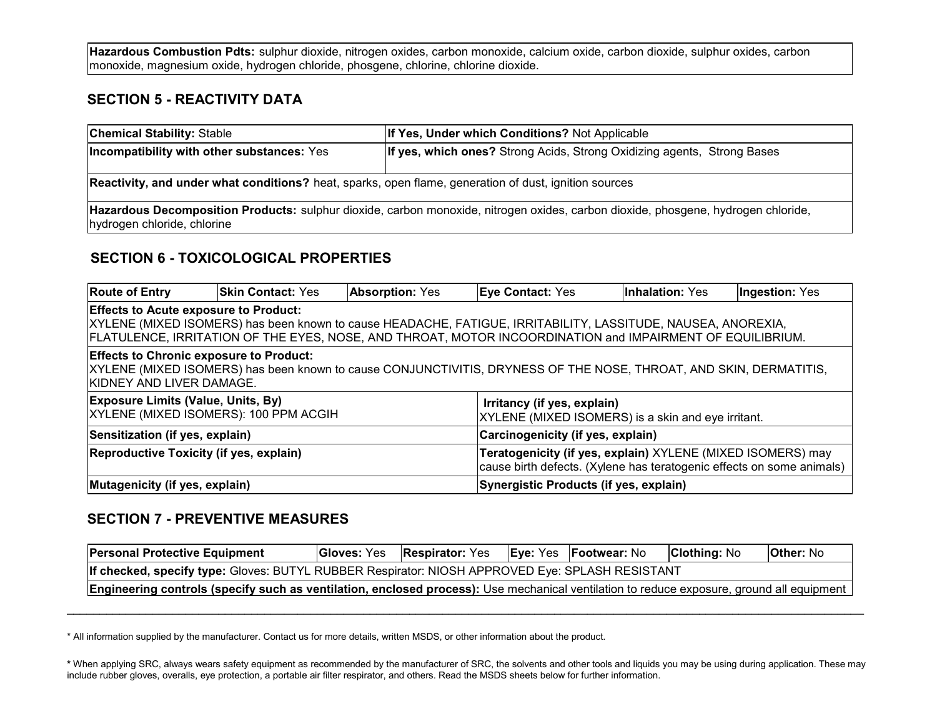**Hazardous Combustion Pdts:** sulphur dioxide, nitrogen oxides, carbon monoxide, calcium oxide, carbon dioxide, sulphur oxides, carbon monoxide, magnesium oxide, hydrogen chloride, phosgene, chlorine, chlorine dioxide.

#### **SECTION 5 - REACTIVITY DATA**

| <b>Chemical Stability: Stable</b>                                                                            | <b>If Yes, Under which Conditions?</b> Not Applicable                                                                             |
|--------------------------------------------------------------------------------------------------------------|-----------------------------------------------------------------------------------------------------------------------------------|
| Incompatibility with other substances: Yes                                                                   | <b>If yes, which ones?</b> Strong Acids, Strong Oxidizing agents, Strong Bases                                                    |
| <b>Reactivity, and under what conditions?</b> heat, sparks, open flame, generation of dust, ignition sources |                                                                                                                                   |
| hydrogen chloride, chlorine                                                                                  | Hazardous Decomposition Products: sulphur dioxide, carbon monoxide, nitrogen oxides, carbon dioxide, phosgene, hydrogen chloride, |

### **SECTION 6 - TOXICOLOGICAL PROPERTIES**

| <b>Route of Entry</b>                                                              | <b>Skin Contact: Yes</b> | <b>Absorption: Yes</b> | Eye Contact: Yes                                                                                                                                                                                                          | <b>Inhalation: Yes</b> | <b>Ingestion: Yes</b> |
|------------------------------------------------------------------------------------|--------------------------|------------------------|---------------------------------------------------------------------------------------------------------------------------------------------------------------------------------------------------------------------------|------------------------|-----------------------|
| <b>Effects to Acute exposure to Product:</b>                                       |                          |                        |                                                                                                                                                                                                                           |                        |                       |
|                                                                                    |                          |                        | XYLENE (MIXED ISOMERS) has been known to cause HEADACHE, FATIGUE, IRRITABILITY, LASSITUDE, NAUSEA, ANOREXIA,<br>FLATULENCE, IRRITATION OF THE EYES, NOSE, AND THROAT, MOTOR INCOORDINATION and IMPAIRMENT OF EQUILIBRIUM. |                        |                       |
| <b>Effects to Chronic exposure to Product:</b><br><b>IKIDNEY AND LIVER DAMAGE.</b> |                          |                        | XYLENE (MIXED ISOMERS) has been known to cause CONJUNCTIVITIS, DRYNESS OF THE NOSE, THROAT, AND SKIN, DERMATITIS,                                                                                                         |                        |                       |
| <b>Exposure Limits (Value, Units, By)</b><br>XYLENE (MIXED ISOMERS): 100 PPM ACGIH |                          |                        | Irritancy (if yes, explain)<br>XYLENE (MIXED ISOMERS) is a skin and eye irritant.                                                                                                                                         |                        |                       |
| Sensitization (if yes, explain)                                                    |                          |                        | Carcinogenicity (if yes, explain)                                                                                                                                                                                         |                        |                       |
| Reproductive Toxicity (if yes, explain)                                            |                          |                        | Teratogenicity (if yes, explain) XYLENE (MIXED ISOMERS) may<br>cause birth defects. (Xylene has teratogenic effects on some animals)                                                                                      |                        |                       |
| Mutagenicity (if yes, explain)                                                     |                          |                        | Synergistic Products (if yes, explain)                                                                                                                                                                                    |                        |                       |

#### **SECTION 7 - PREVENTIVE MEASURES**

| <b>Personal Protective Equipment</b>                                                                                                      | <b>Gloves: Yes</b> | <b>Respirator:</b> Yes | <b>Eye: Yes Footwear: No</b> | <b>Clothing: No</b> | <b>Other: No</b> |
|-------------------------------------------------------------------------------------------------------------------------------------------|--------------------|------------------------|------------------------------|---------------------|------------------|
| <b>If checked, specify type:</b> Gloves: BUTYL RUBBER Respirator: NIOSH APPROVED Eye: SPLASH RESISTANT                                    |                    |                        |                              |                     |                  |
| Engineering controls (specify such as ventilation, enclosed process): Use mechanical ventilation to reduce exposure, ground all equipment |                    |                        |                              |                     |                  |

\_\_\_\_\_\_\_\_\_\_\_\_\_\_\_\_\_\_\_\_\_\_\_\_\_\_\_\_\_\_\_\_\_\_\_\_\_\_\_\_\_\_\_\_\_\_\_\_\_\_\_\_\_\_\_\_\_\_\_\_\_\_\_\_\_\_\_\_\_\_\_\_\_\_\_\_\_\_\_\_\_\_\_\_\_\_\_\_\_\_\_\_\_\_\_\_\_\_\_\_\_\_\_\_\_\_\_\_\_\_\_\_\_\_\_\_\_\_\_\_\_

\* All information supplied by the manufacturer. Contact us for more details, written MSDS, or other information about the product.

**\*** When applying SRC, always wears safety equipment as recommended by the manufacturer of SRC, the solvents and other tools and liquids you may be using during application. These may include rubber gloves, overalls, eye protection, a portable air filter respirator, and others. Read the MSDS sheets below for further information.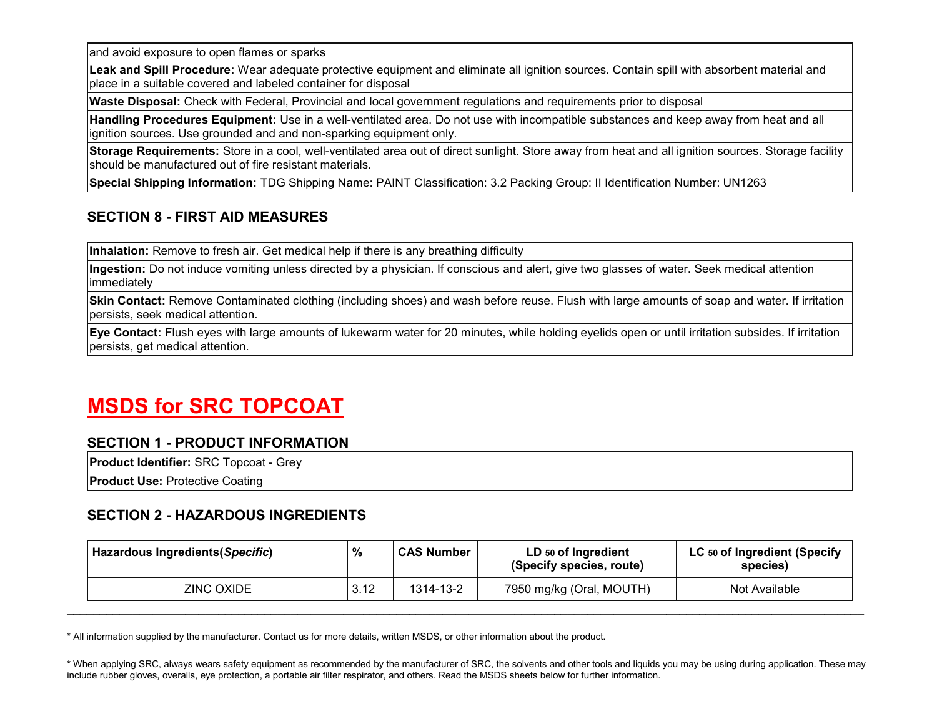land avoid exposure to open flames or sparks

**Leak and Spill Procedure:** Wear adequate protective equipment and eliminate all ignition sources. Contain spill with absorbent material and place in a suitable covered and labeled container for disposal

**Waste Disposal:** Check with Federal, Provincial and local government regulations and requirements prior to disposal

**Handling Procedures Equipment:** Use in a well-ventilated area. Do not use with incompatible substances and keep away from heat and all ignition sources. Use grounded and and non-sparking equipment only.

**Storage Requirements:** Store in a cool, well-ventilated area out of direct sunlight. Store away from heat and all ignition sources. Storage facility should be manufactured out of fire resistant materials.

**Special Shipping Information:** TDG Shipping Name: PAINT Classification: 3.2 Packing Group: II Identification Number: UN1263

#### **SECTION 8 - FIRST AID MEASURES**

**Inhalation:** Remove to fresh air. Get medical help if there is any breathing difficulty

**Ingestion:** Do not induce vomiting unless directed by a physician. If conscious and alert, give two glasses of water. Seek medical attention immediately

**Skin Contact:** Remove Contaminated clothing (including shoes) and wash before reuse. Flush with large amounts of soap and water. If irritation lpersists, seek medical attention.

**Eye Contact:** Flush eyes with large amounts of lukewarm water for 20 minutes, while holding eyelids open or until irritation subsides. If irritation persists, get medical attention.

# **MSDS for SRC TOPCOAT**

#### **SECTION 1 - PRODUCT INFORMATION**

**Product Identifier:** SRC Topcoat - Grey

**Product Use:** Protective Coating

#### **SECTION 2 - HAZARDOUS INGREDIENTS**

| Hazardous Ingredients (Specific) | $\%$ | <b>CAS Number</b> | LD 50 of Ingredient<br>(Specify species, route) | LC 50 of Ingredient (Specify<br>species) |
|----------------------------------|------|-------------------|-------------------------------------------------|------------------------------------------|
| ZINC OXIDE                       | 3.12 | 1314-13-2         | 7950 mg/kg (Oral, MOUTH)                        | Not Available                            |
|                                  |      |                   |                                                 |                                          |

\* All information supplied by the manufacturer. Contact us for more details, written MSDS, or other information about the product.

**\*** When applying SRC, always wears safety equipment as recommended by the manufacturer of SRC, the solvents and other tools and liquids you may be using during application. These may include rubber gloves, overalls, eye protection, a portable air filter respirator, and others. Read the MSDS sheets below for further information.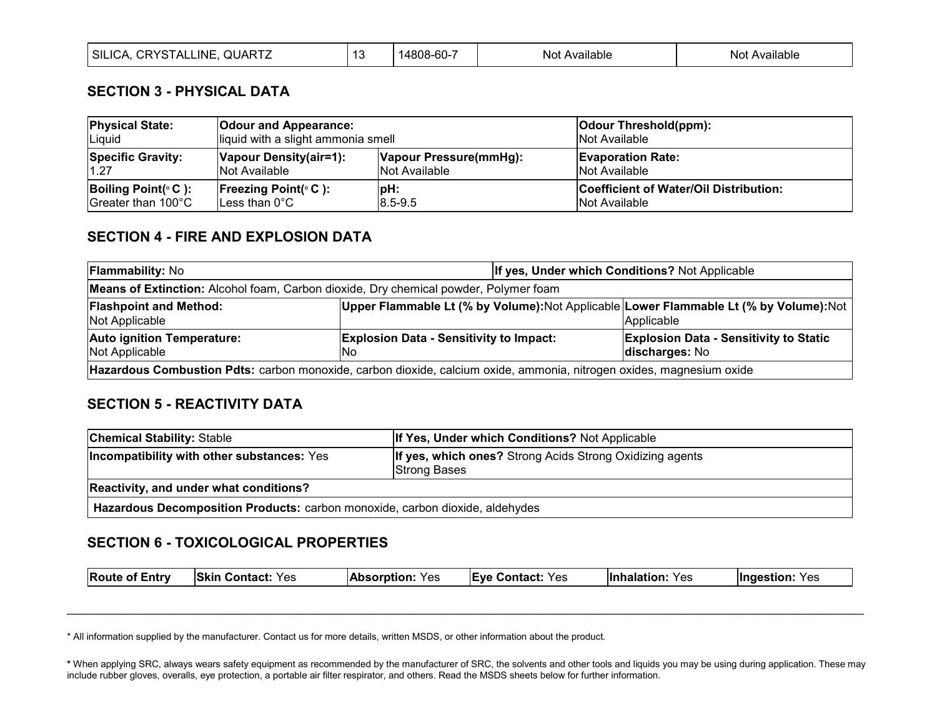| <b>SILICA</b><br>OUART <sub>7</sub><br>INF<br>PDVC<br>≒I Ai<br>∿ ∧ N<br>the contract of the contract of the contract of the contract of the contract of the contract of the contract of<br>$\sim$ $\sim$ | $\overline{ }$ | $\sim$<br>·bu | NOL.<br>allat | ilable<br>Not |
|----------------------------------------------------------------------------------------------------------------------------------------------------------------------------------------------------------|----------------|---------------|---------------|---------------|
|----------------------------------------------------------------------------------------------------------------------------------------------------------------------------------------------------------|----------------|---------------|---------------|---------------|

#### **SECTION 3 - PHYSICAL DATA**

| <b>Physical State:</b>                      | <b>Odour and Appearance:</b>       |                        | <b>Odour Threshold(ppm):</b>           |
|---------------------------------------------|------------------------------------|------------------------|----------------------------------------|
| Liquid                                      | liquid with a slight ammonia smell |                        | <b>INot Available</b>                  |
| <b>Specific Gravity:</b>                    | Vapour Density(air=1):             | Vapour Pressure(mmHg): | <b>Evaporation Rate:</b>               |
| 1.27                                        | INot Available                     | INot Available         | <b>INot Available</b>                  |
| <b>Boiling Point(<math>\circ</math> C):</b> | <b>Freezing Point(°C):</b>         | pH:                    | Coefficient of Water/Oil Distribution: |
| Greater than 100°C                          | Less than $0^{\circ}$ C            | $ 8.5 - 9.5 $          | <b>INot Available</b>                  |

### **SECTION 4 - FIRE AND EXPLOSION DATA**

| <b>Flammability: No</b>                                                                                              |                                                        | If yes, Under which Conditions? Not Applicable                                                       |
|----------------------------------------------------------------------------------------------------------------------|--------------------------------------------------------|------------------------------------------------------------------------------------------------------|
| Means of Extinction: Alcohol foam, Carbon dioxide, Dry chemical powder, Polymer foam                                 |                                                        |                                                                                                      |
| <b>Flashpoint and Method:</b><br>Not Applicable                                                                      |                                                        | Upper Flammable Lt (% by Volume):Not Applicable Lower Flammable Lt (% by Volume):Not  <br>Applicable |
| <b>Auto ignition Temperature:</b><br>Not Applicable                                                                  | <b>Explosion Data - Sensitivity to Impact:</b><br>INo. | <b>Explosion Data - Sensitivity to Static</b><br>discharges: No                                      |
| Hazardous Combustion Pdts: carbon monoxide, carbon dioxide, calcium oxide, ammonia, nitrogen oxides, magnesium oxide |                                                        |                                                                                                      |

#### **SECTION 5 - REACTIVITY DATA**

| <b>Chemical Stability: Stable</b>                                            | <b>If Yes, Under which Conditions?</b> Not Applicable                           |
|------------------------------------------------------------------------------|---------------------------------------------------------------------------------|
| Incompatibility with other substances: Yes                                   | <b>If yes, which ones?</b> Strong Acids Strong Oxidizing agents<br>Strong Bases |
| Reactivity, and under what conditions?                                       |                                                                                 |
| Hazardous Decomposition Products: carbon monoxide, carbon dioxide, aldehydes |                                                                                 |

### **SECTION 6 - TOXICOLOGICAL PROPERTIES**

| <b>Skin</b><br><b>Route of E</b><br>$\sim$<br>Eve<br>linhalation:<br><b>Contact: Yes</b><br><b>Absorption</b><br>Yes<br>Yes<br>Yes<br>Yes<br>Entrv<br>∴ontactٽ<br>lIngestion: |
|-------------------------------------------------------------------------------------------------------------------------------------------------------------------------------|
|-------------------------------------------------------------------------------------------------------------------------------------------------------------------------------|

\_\_\_\_\_\_\_\_\_\_\_\_\_\_\_\_\_\_\_\_\_\_\_\_\_\_\_\_\_\_\_\_\_\_\_\_\_\_\_\_\_\_\_\_\_\_\_\_\_\_\_\_\_\_\_\_\_\_\_\_\_\_\_\_\_\_\_\_\_\_\_\_\_\_\_\_\_\_\_\_\_\_\_\_\_\_\_\_\_\_\_\_\_\_\_\_\_\_\_\_\_\_\_\_\_\_\_\_\_\_\_\_\_\_\_\_\_\_\_\_\_

\* All information supplied by the manufacturer. Contact us for more details, written MSDS, or other information about the product.

**\*** When applying SRC, always wears safety equipment as recommended by the manufacturer of SRC, the solvents and other tools and liquids you may be using during application. These may include rubber gloves, overalls, eye protection, a portable air filter respirator, and others. Read the MSDS sheets below for further information.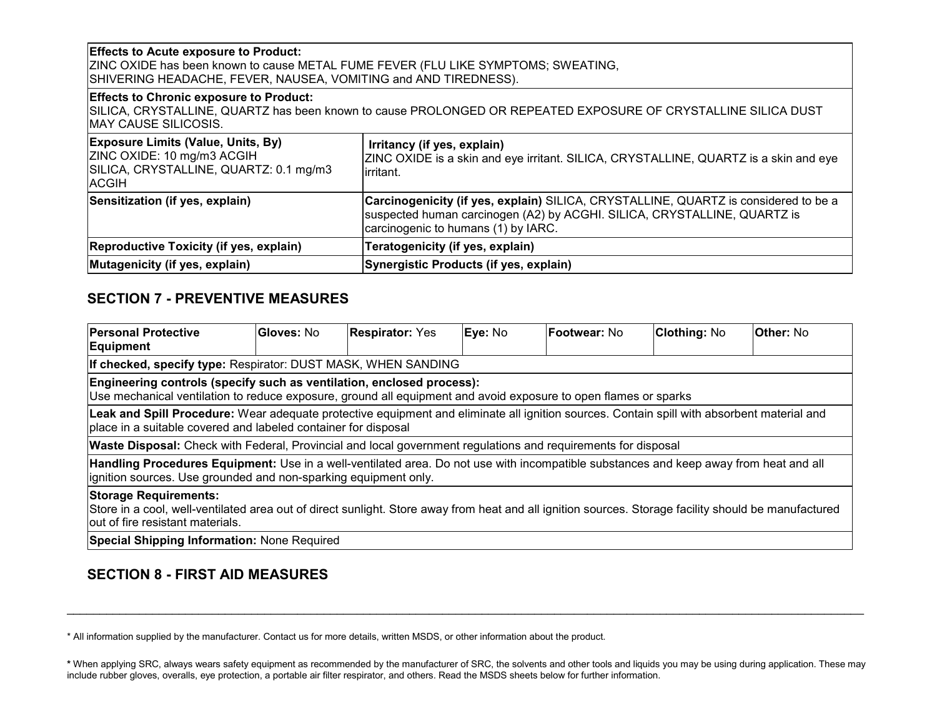#### **Effects to Acute exposure to Product:**

ZINC OXIDE has been known to cause METAL FUME FEVER (FLU LIKE SYMPTOMS; SWEATING, SHIVERING HEADACHE, FEVER, NAUSEA, VOMITING and AND TIREDNESS).

#### **Effects to Chronic exposure to Product:**

SILICA, CRYSTALLINE, QUARTZ has been known to cause PROLONGED OR REPEATED EXPOSURE OF CRYSTALLINE SILICA DUST MAY CAUSE SILICOSIS.

| <b>Exposure Limits (Value, Units, By)</b><br>ZINC OXIDE: 10 mg/m3 ACGIH<br>SILICA, CRYSTALLINE, QUARTZ: 0.1 mg/m3<br><b>ACGIH</b> | Irritancy (if yes, explain)<br>ZINC OXIDE is a skin and eye irritant. SILICA, CRYSTALLINE, QUARTZ is a skin and eye<br>lirritant.                                                                      |
|-----------------------------------------------------------------------------------------------------------------------------------|--------------------------------------------------------------------------------------------------------------------------------------------------------------------------------------------------------|
| Sensitization (if yes, explain)                                                                                                   | Carcinogenicity (if yes, explain) SILICA, CRYSTALLINE, QUARTZ is considered to be a<br>suspected human carcinogen (A2) by ACGHI. SILICA, CRYSTALLINE, QUARTZ is<br>carcinogenic to humans (1) by IARC. |
| Reproductive Toxicity (if yes, explain)                                                                                           | Teratogenicity (if yes, explain)                                                                                                                                                                       |
| Mutagenicity (if yes, explain)                                                                                                    | Synergistic Products (if yes, explain)                                                                                                                                                                 |

#### **SECTION 7 - PREVENTIVE MEASURES**

| <b>Personal Protective</b><br>Equipment                                                                                                                                                                                  | <b>Gloves: No</b> | <b>Respirator: Yes</b> | Eye: No | <b>Footwear: No</b> | <b>Clothing: No</b> | <b>Other: No</b> |  |  |
|--------------------------------------------------------------------------------------------------------------------------------------------------------------------------------------------------------------------------|-------------------|------------------------|---------|---------------------|---------------------|------------------|--|--|
| If checked, specify type: Respirator: DUST MASK, WHEN SANDING                                                                                                                                                            |                   |                        |         |                     |                     |                  |  |  |
| Engineering controls (specify such as ventilation, enclosed process):<br>Use mechanical ventilation to reduce exposure, ground all equipment and avoid exposure to open flames or sparks                                 |                   |                        |         |                     |                     |                  |  |  |
| Leak and Spill Procedure: Wear adequate protective equipment and eliminate all ignition sources. Contain spill with absorbent material and<br>place in a suitable covered and labeled container for disposal             |                   |                        |         |                     |                     |                  |  |  |
| Waste Disposal: Check with Federal, Provincial and local government regulations and requirements for disposal                                                                                                            |                   |                        |         |                     |                     |                  |  |  |
| <b>Handling Procedures Equipment:</b> Use in a well-ventilated area. Do not use with incompatible substances and keep away from heat and all<br>lignition sources. Use grounded and non-sparking equipment only.         |                   |                        |         |                     |                     |                  |  |  |
| <b>Storage Requirements:</b><br>Store in a cool, well-ventilated area out of direct sunlight. Store away from heat and all ignition sources. Storage facility should be manufactured<br>out of fire resistant materials. |                   |                        |         |                     |                     |                  |  |  |
| <b>Special Shipping Information: None Required</b>                                                                                                                                                                       |                   |                        |         |                     |                     |                  |  |  |

## **SECTION 8 - FIRST AID MEASURES**

\* All information supplied by the manufacturer. Contact us for more details, written MSDS, or other information about the product.

**\*** When applying SRC, always wears safety equipment as recommended by the manufacturer of SRC, the solvents and other tools and liquids you may be using during application. These may include rubber gloves, overalls, eye protection, a portable air filter respirator, and others. Read the MSDS sheets below for further information.

\_\_\_\_\_\_\_\_\_\_\_\_\_\_\_\_\_\_\_\_\_\_\_\_\_\_\_\_\_\_\_\_\_\_\_\_\_\_\_\_\_\_\_\_\_\_\_\_\_\_\_\_\_\_\_\_\_\_\_\_\_\_\_\_\_\_\_\_\_\_\_\_\_\_\_\_\_\_\_\_\_\_\_\_\_\_\_\_\_\_\_\_\_\_\_\_\_\_\_\_\_\_\_\_\_\_\_\_\_\_\_\_\_\_\_\_\_\_\_\_\_